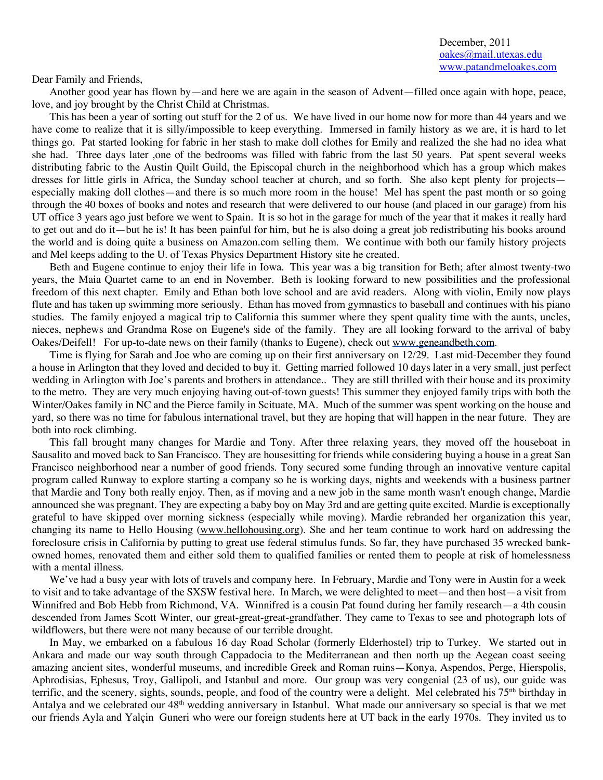Dear Family and Friends,

Another good year has flown by—and here we are again in the season of Advent—filled once again with hope, peace, love, and joy brought by the Christ Child at Christmas.

This has been a year of sorting out stuff for the 2 of us. We have lived in our home now for more than 44 years and we have come to realize that it is silly/impossible to keep everything. Immersed in family history as we are, it is hard to let things go. Pat started looking for fabric in her stash to make doll clothes for Emily and realized the she had no idea what she had. Three days later ,one of the bedrooms was filled with fabric from the last 50 years. Pat spent several weeks distributing fabric to the Austin Quilt Guild, the Episcopal church in the neighborhood which has a group which makes dresses for little girls in Africa, the Sunday school teacher at church, and so forth. She also kept plenty for projects especially making doll clothes—and there is so much more room in the house! Mel has spent the past month or so going through the 40 boxes of books and notes and research that were delivered to our house (and placed in our garage) from his UT office 3 years ago just before we went to Spain. It is so hot in the garage for much of the year that it makes it really hard to get out and do it—but he is! It has been painful for him, but he is also doing a great job redistributing his books around the world and is doing quite a business on Amazon.com selling them. We continue with both our family history projects and Mel keeps adding to the U. of Texas Physics Department History site he created.

Beth and Eugene continue to enjoy their life in Iowa. This year was a big transition for Beth; after almost twenty-two years, the Maia Quartet came to an end in November. Beth is looking forward to new possibilities and the professional freedom of this next chapter. Emily and Ethan both love school and are avid readers. Along with violin, Emily now plays flute and has taken up swimming more seriously. Ethan has moved from gymnastics to baseball and continues with his piano studies. The family enjoyed a magical trip to California this summer where they spent quality time with the aunts, uncles, nieces, nephews and Grandma Rose on Eugene's side of the family. They are all looking forward to the arrival of baby Oakes/Deifell! For up-to-date news on their family (thanks to Eugene), check out www.geneandbeth.com.

Time is flying for Sarah and Joe who are coming up on their first anniversary on 12/29. Last mid-December they found a house in Arlington that they loved and decided to buy it. Getting married followed 10 days later in a very small, just perfect wedding in Arlington with Joe's parents and brothers in attendance.. They are still thrilled with their house and its proximity to the metro. They are very much enjoying having out-of-town guests! This summer they enjoyed family trips with both the Winter/Oakes family in NC and the Pierce family in Scituate, MA. Much of the summer was spent working on the house and yard, so there was no time for fabulous international travel, but they are hoping that will happen in the near future. They are both into rock climbing.

This fall brought many changes for Mardie and Tony. After three relaxing years, they moved off the houseboat in Sausalito and moved back to San Francisco. They are housesitting for friends while considering buying a house in a great San Francisco neighborhood near a number of good friends. Tony secured some funding through an innovative venture capital program called Runway to explore starting a company so he is working days, nights and weekends with a business partner that Mardie and Tony both really enjoy. Then, as if moving and a new job in the same month wasn't enough change, Mardie announced she was pregnant. They are expecting a baby boy on May 3rd and are getting quite excited. Mardie is exceptionally grateful to have skipped over morning sickness (especially while moving). Mardie rebranded her organization this year, changing its name to Hello Housing (www.hellohousing.org). She and her team continue to work hard on addressing the foreclosure crisis in California by putting to great use federal stimulus funds. So far, they have purchased 35 wrecked bankowned homes, renovated them and either sold them to qualified families or rented them to people at risk of homelessness with a mental illness.

We've had a busy year with lots of travels and company here. In February, Mardie and Tony were in Austin for a week to visit and to take advantage of the SXSW festival here. In March, we were delighted to meet—and then host—a visit from Winnifred and Bob Hebb from Richmond, VA. Winnifred is a cousin Pat found during her family research—a 4th cousin descended from James Scott Winter, our great-great-great-grandfather. They came to Texas to see and photograph lots of wildflowers, but there were not many because of our terrible drought.

In May, we embarked on a fabulous 16 day Road Scholar (formerly Elderhostel) trip to Turkey. We started out in Ankara and made our way south through Cappadocia to the Mediterranean and then north up the Aegean coast seeing amazing ancient sites, wonderful museums, and incredible Greek and Roman ruins—Konya, Aspendos, Perge, Hierspolis, Aphrodisias, Ephesus, Troy, Gallipoli, and Istanbul and more. Our group was very congenial (23 of us), our guide was terrific, and the scenery, sights, sounds, people, and food of the country were a delight. Mel celebrated his  $75<sup>th</sup>$  birthday in Antalya and we celebrated our 48<sup>th</sup> wedding anniversary in Istanbul. What made our anniversary so special is that we met our friends Ayla and Yalçin Guneri who were our foreign students here at UT back in the early 1970s. They invited us to